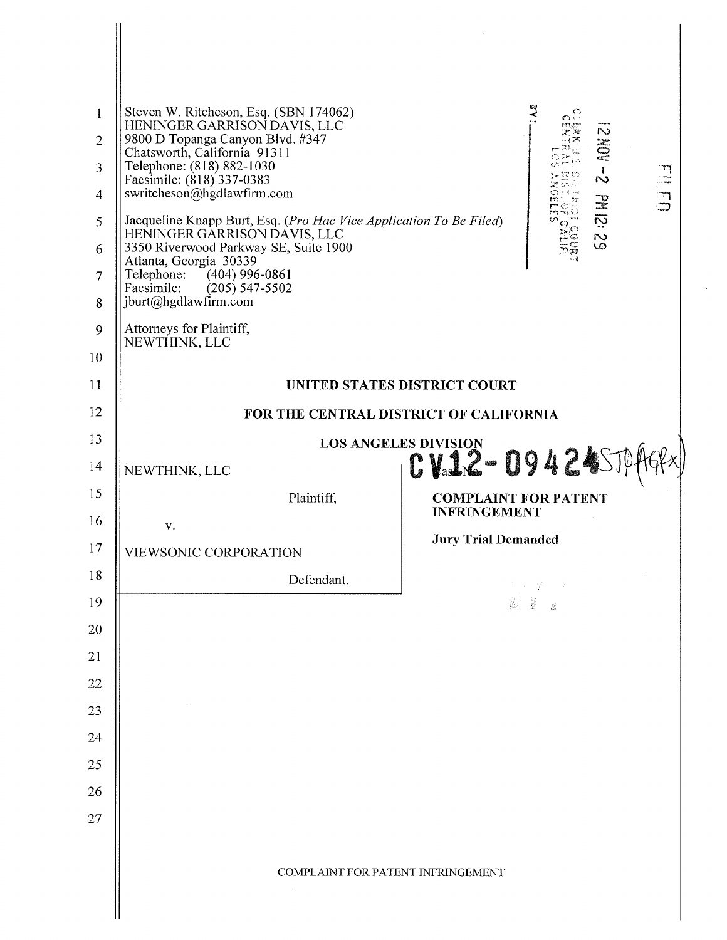| 1<br>$\overline{2}$ | Steven W. Ritcheson, Esq. (SBN 174062)<br>O<br>$\Omega$<br>HENINGER GARRISON DAVIS, LLC<br>N<br>9800 D Topanga Canyon Blvd. #347<br>Ë     |  |  |  |
|---------------------|-------------------------------------------------------------------------------------------------------------------------------------------|--|--|--|
| 3                   | Chatsworth, California 91311<br>Telephone: (818) 882-1030<br>1.<br>$\sim$                                                                 |  |  |  |
| 4                   | $\frac{1}{1}$<br>Facsimile: (818) 337-0383<br>swritcheson@hgdlawfirm.com                                                                  |  |  |  |
| 5                   | PM 12:21<br>Jacqueline Knapp Burt, Esq. (Pro Hac Vice Application To Be Filed)<br>HENINGER GARRISON DAVIS, LLC                            |  |  |  |
| 6                   | LO<br>3350 Riverwood Parkway SE, Suite 1900<br>Atlanta, Georgia 30339<br>Telephone:<br>$(404)$ 996-0861<br>Facsimile:<br>$(205)$ 547-5502 |  |  |  |
| $\overline{7}$      |                                                                                                                                           |  |  |  |
| 8                   | jburt@hgdlawfirm.com                                                                                                                      |  |  |  |
| 9                   | Attorneys for Plaintiff,<br>NEWTHINK, LLC                                                                                                 |  |  |  |
| 10                  |                                                                                                                                           |  |  |  |
| 11                  | UNITED STATES DISTRICT COURT                                                                                                              |  |  |  |
| 12                  | FOR THE CENTRAL DISTRICT OF CALIFORNIA                                                                                                    |  |  |  |
| 13                  | LOS ANGELES DIVISION 194245704                                                                                                            |  |  |  |
| 14                  | NEWTHINK, LLC                                                                                                                             |  |  |  |
| 15                  | Plaintiff,<br><b>COMPLAINT FOR PATENT</b><br><b>INFRINGEMENT</b>                                                                          |  |  |  |
| 16                  | V.<br><b>Jury Trial Demanded</b>                                                                                                          |  |  |  |
| 17<br>18            | VIEWSONIC CORPORATION                                                                                                                     |  |  |  |
| 19                  | Defendant.                                                                                                                                |  |  |  |
| 20                  |                                                                                                                                           |  |  |  |
| 21                  |                                                                                                                                           |  |  |  |
| 22                  |                                                                                                                                           |  |  |  |
| 23                  |                                                                                                                                           |  |  |  |
| 24                  |                                                                                                                                           |  |  |  |
| 25                  |                                                                                                                                           |  |  |  |
| 26                  |                                                                                                                                           |  |  |  |
| 27                  |                                                                                                                                           |  |  |  |
|                     |                                                                                                                                           |  |  |  |
|                     | COMPLAINT FOR PATENT INFRINGEMENT                                                                                                         |  |  |  |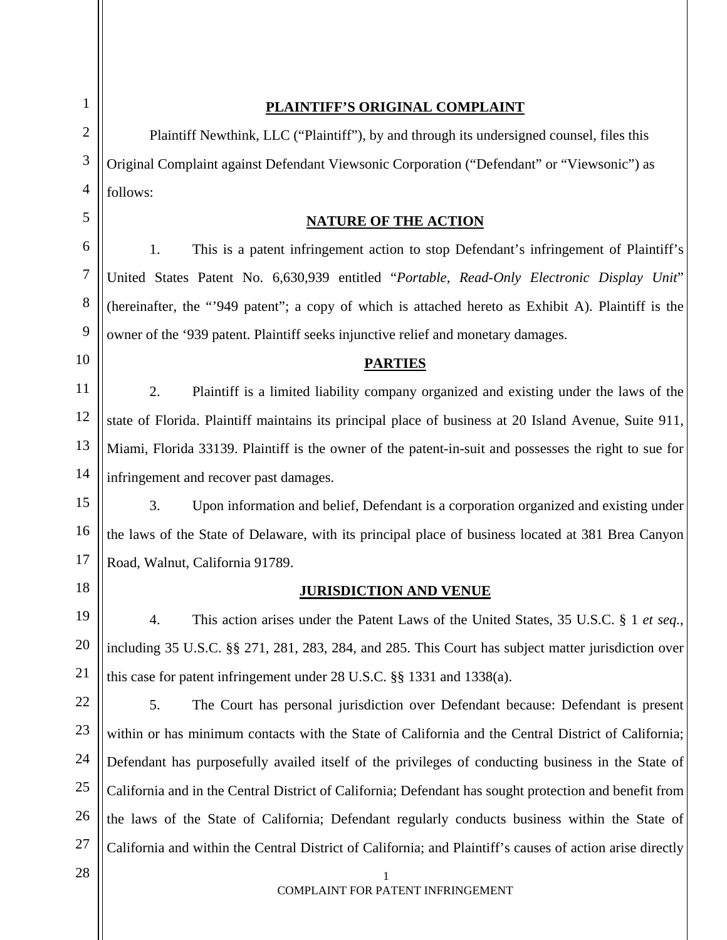| 1              | PLAINTIFF'S ORIGINAL COMPLAINT                                                                            |  |  |  |
|----------------|-----------------------------------------------------------------------------------------------------------|--|--|--|
| $\overline{2}$ | Plaintiff Newthink, LLC ("Plaintiff"), by and through its undersigned counsel, files this                 |  |  |  |
| 3              | Original Complaint against Defendant Viewsonic Corporation ("Defendant" or "Viewsonic") as                |  |  |  |
| 4              | follows:                                                                                                  |  |  |  |
| 5              | <b>NATURE OF THE ACTION</b>                                                                               |  |  |  |
| 6              | 1.<br>This is a patent infringement action to stop Defendant's infringement of Plaintiff's                |  |  |  |
| 7              | United States Patent No. 6,630,939 entitled "Portable, Read-Only Electronic Display Unit"                 |  |  |  |
| 8              | (hereinafter, the "949 patent"; a copy of which is attached hereto as Exhibit A). Plaintiff is the        |  |  |  |
| 9              | owner of the '939 patent. Plaintiff seeks injunctive relief and monetary damages.                         |  |  |  |
| 10             | <b>PARTIES</b>                                                                                            |  |  |  |
| 11             | 2.<br>Plaintiff is a limited liability company organized and existing under the laws of the               |  |  |  |
| 12             | state of Florida. Plaintiff maintains its principal place of business at 20 Island Avenue, Suite 911,     |  |  |  |
| 13             | Miami, Florida 33139. Plaintiff is the owner of the patent-in-suit and possesses the right to sue for     |  |  |  |
| 14             | infringement and recover past damages.                                                                    |  |  |  |
| 15             | 3.<br>Upon information and belief, Defendant is a corporation organized and existing under                |  |  |  |
| 16             | the laws of the State of Delaware, with its principal place of business located at 381 Brea Canyon        |  |  |  |
| 17             | Road, Walnut, California 91789.                                                                           |  |  |  |
| 18             | <b>JURISDICTION AND VENUE</b>                                                                             |  |  |  |
| 19             | This action arises under the Patent Laws of the United States, 35 U.S.C. § 1 et seq.,<br>4.               |  |  |  |
| 20             | including 35 U.S.C. §§ 271, 281, 283, 284, and 285. This Court has subject matter jurisdiction over       |  |  |  |
| 21             | this case for patent infringement under 28 U.S.C. §§ 1331 and 1338(a).                                    |  |  |  |
| 22             | 5.<br>The Court has personal jurisdiction over Defendant because: Defendant is present                    |  |  |  |
| 23             | within or has minimum contacts with the State of California and the Central District of California;       |  |  |  |
| 24             | Defendant has purposefully availed itself of the privileges of conducting business in the State of        |  |  |  |
| 25             | California and in the Central District of California; Defendant has sought protection and benefit from    |  |  |  |
| 26             | the laws of the State of California; Defendant regularly conducts business within the State of            |  |  |  |
| 27             | California and within the Central District of California; and Plaintiff's causes of action arise directly |  |  |  |
| 28             | 1<br>COMPLAINT FOR PATENT INFRINGEMENT                                                                    |  |  |  |
|                |                                                                                                           |  |  |  |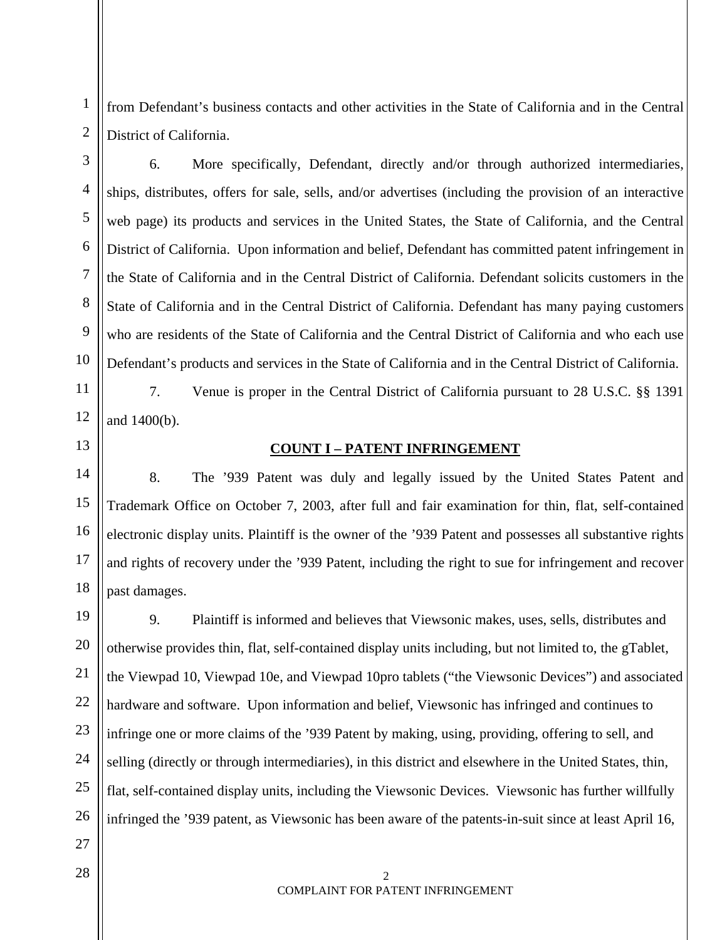from Defendant's business contacts and other activities in the State of California and in the Central District of California.

6. More specifically, Defendant, directly and/or through authorized intermediaries, ships, distributes, offers for sale, sells, and/or advertises (including the provision of an interactive web page) its products and services in the United States, the State of California, and the Central District of California. Upon information and belief, Defendant has committed patent infringement in the State of California and in the Central District of California. Defendant solicits customers in the State of California and in the Central District of California. Defendant has many paying customers who are residents of the State of California and the Central District of California and who each use Defendant's products and services in the State of California and in the Central District of California.

12 7. Venue is proper in the Central District of California pursuant to 28 U.S.C. §§ 1391 and 1400(b).

13

14

15

16

17

18

1

2

3

4

5

6

7

8

9

10

11

## **COUNT I – PATENT INFRINGEMENT**

8. The '939 Patent was duly and legally issued by the United States Patent and Trademark Office on October 7, 2003, after full and fair examination for thin, flat, self-contained electronic display units. Plaintiff is the owner of the '939 Patent and possesses all substantive rights and rights of recovery under the '939 Patent, including the right to sue for infringement and recover past damages.

19 20 21 22 23 24 25 26 9. Plaintiff is informed and believes that Viewsonic makes, uses, sells, distributes and otherwise provides thin, flat, self-contained display units including, but not limited to, the gTablet, the Viewpad 10, Viewpad 10e, and Viewpad 10pro tablets ("the Viewsonic Devices") and associated hardware and software. Upon information and belief, Viewsonic has infringed and continues to infringe one or more claims of the '939 Patent by making, using, providing, offering to sell, and selling (directly or through intermediaries), in this district and elsewhere in the United States, thin, flat, self-contained display units, including the Viewsonic Devices. Viewsonic has further willfully infringed the '939 patent, as Viewsonic has been aware of the patents-in-suit since at least April 16,

27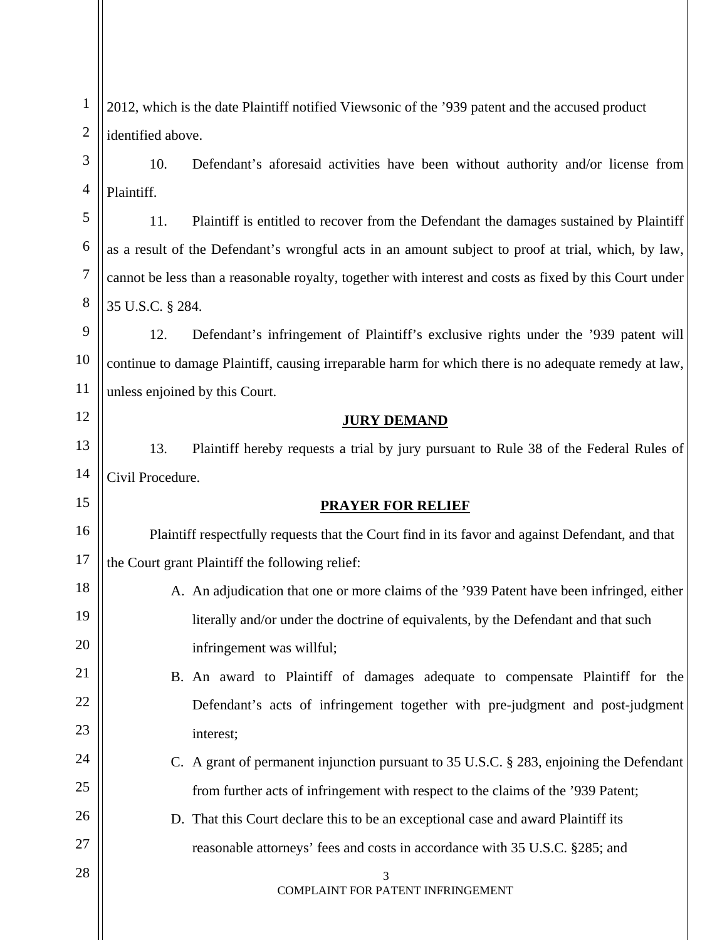| $\mathbf{1}$     | 2012, which is the date Plaintiff notified Viewsonic of the '939 patent and the accused product         |  |  |  |
|------------------|---------------------------------------------------------------------------------------------------------|--|--|--|
| $\overline{c}$   | identified above.                                                                                       |  |  |  |
| 3                | 10.<br>Defendant's aforesaid activities have been without authority and/or license from                 |  |  |  |
| $\overline{4}$   | Plaintiff.                                                                                              |  |  |  |
| 5                | 11.<br>Plaintiff is entitled to recover from the Defendant the damages sustained by Plaintiff           |  |  |  |
| $\boldsymbol{6}$ | as a result of the Defendant's wrongful acts in an amount subject to proof at trial, which, by law,     |  |  |  |
| 7                | cannot be less than a reasonable royalty, together with interest and costs as fixed by this Court under |  |  |  |
| 8                | 35 U.S.C. § 284.                                                                                        |  |  |  |
| 9                | 12.<br>Defendant's infringement of Plaintiff's exclusive rights under the '939 patent will              |  |  |  |
| 10               | continue to damage Plaintiff, causing irreparable harm for which there is no adequate remedy at law,    |  |  |  |
| 11               | unless enjoined by this Court.                                                                          |  |  |  |
| 12               | <b>JURY DEMAND</b>                                                                                      |  |  |  |
| 13               | 13.<br>Plaintiff hereby requests a trial by jury pursuant to Rule 38 of the Federal Rules of            |  |  |  |
| 14               | Civil Procedure.                                                                                        |  |  |  |
| 15               | <b>PRAYER FOR RELIEF</b>                                                                                |  |  |  |
| 16               | Plaintiff respectfully requests that the Court find in its favor and against Defendant, and that        |  |  |  |
| 17               | the Court grant Plaintiff the following relief:                                                         |  |  |  |
| 18               | A. An adjudication that one or more claims of the '939 Patent have been infringed, either               |  |  |  |
| 19               | literally and/or under the doctrine of equivalents, by the Defendant and that such                      |  |  |  |
| 20               | infringement was willful;                                                                               |  |  |  |
| 21               | B. An award to Plaintiff of damages adequate to compensate Plaintiff for the                            |  |  |  |
| 22               | Defendant's acts of infringement together with pre-judgment and post-judgment                           |  |  |  |
| 23               | interest;                                                                                               |  |  |  |
| 24               | C. A grant of permanent injunction pursuant to 35 U.S.C. § 283, enjoining the Defendant                 |  |  |  |
| 25               | from further acts of infringement with respect to the claims of the '939 Patent;                        |  |  |  |
| 26               | D. That this Court declare this to be an exceptional case and award Plaintiff its                       |  |  |  |
| 27               | reasonable attorneys' fees and costs in accordance with 35 U.S.C. §285; and                             |  |  |  |
| 28               | 3<br>COMPLAINT FOR PATENT INFRINGEMENT                                                                  |  |  |  |
|                  |                                                                                                         |  |  |  |
|                  |                                                                                                         |  |  |  |

 $\mathsf{I}\mathsf{I}$